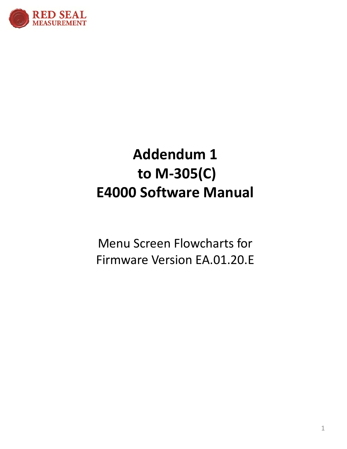

## **Addendum 1** to M-305(C) **E4000 Software Manual**

**Menu Screen Flowcharts for** Firmware Version EA.01.20.E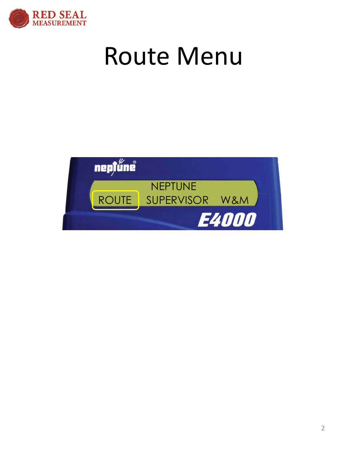

## Route Menu

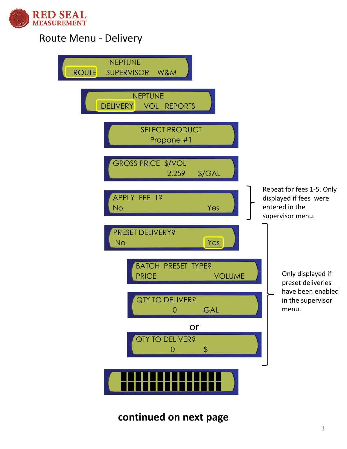

#### Route Menu ‐ Delivery



## **continued on next page**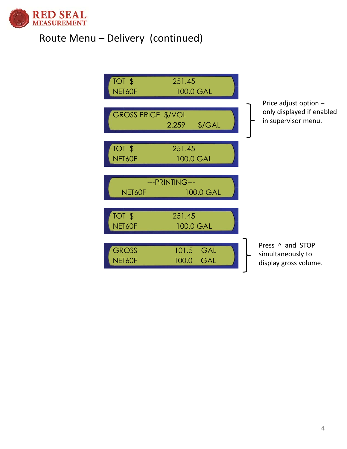

## Route Menu – Delivery (continued)

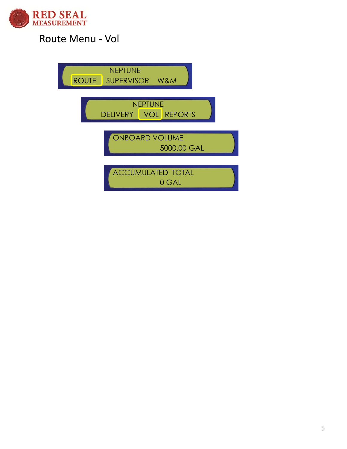

## Route Menu ‐ Vol

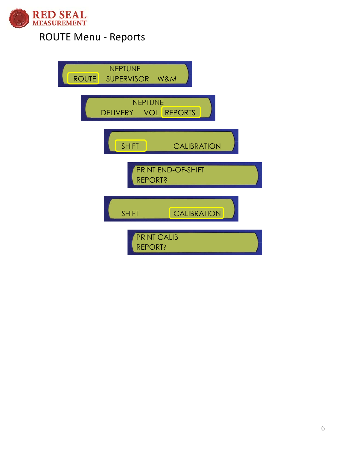

## ROUTE Menu ‐ Reports

| <b>NEPTUNE</b><br>ROUTE SUPERVISOR W&M      |  |
|---------------------------------------------|--|
| <b>NEPTUNE</b><br>DELIVERY VOL REPORTS      |  |
| <b>SHIFT</b><br><b>CALIBRATION</b>          |  |
| <b>PRINT END-OF-SHIFT</b><br><b>REPORT?</b> |  |
| <b>CALIBRATION</b><br><b>SHIFT</b>          |  |
| <b>PRINT CALIB</b><br><b>REPORT?</b>        |  |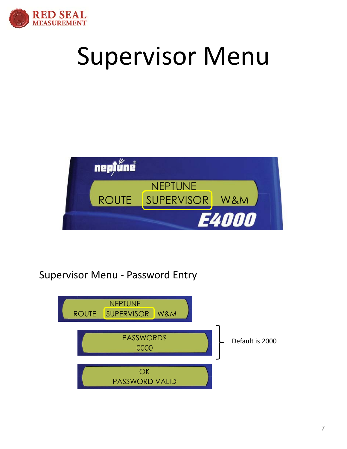

# Supervisor Menu



## Supervisor Menu ‐ Password Entry

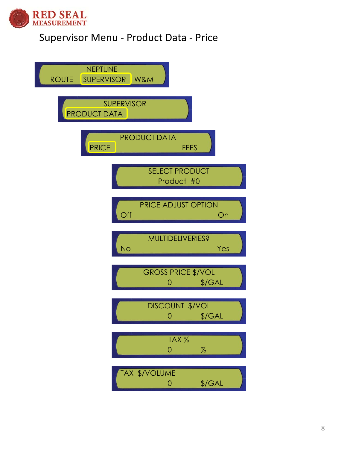

## Supervisor Menu ‐ Product Data ‐ Price

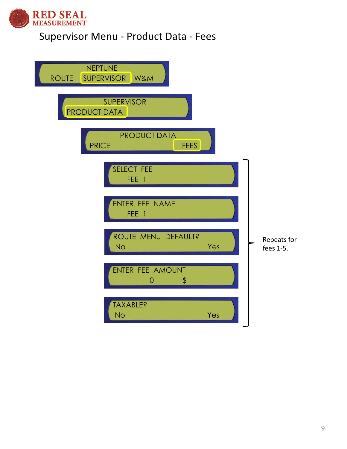

## Supervisor Menu ‐ Product Data ‐ Fees

| <b>NEPTUNE</b><br><b>ROUTE</b><br>SUPERVISOR W&M   |                          |
|----------------------------------------------------|--------------------------|
| <b>SUPERVISOR</b><br><b>PRODUCT DATA</b>           |                          |
| <b>PRODUCT DATA</b><br><b>PRICE</b><br><b>FEES</b> |                          |
| SELECT FEE<br>FEE <sup></sup><br>$\Box$            |                          |
| ENTER FEE NAME<br>FEE <sub>1</sub>                 |                          |
| ROUTE MENU DEFAULT?<br><b>No</b><br>Yes            | Repeats for<br>fees 1-5. |
| ENTER FEE AMOUNT<br>\$<br>0                        |                          |
| <b>TAXABLE?</b><br>Yes<br><b>No</b>                |                          |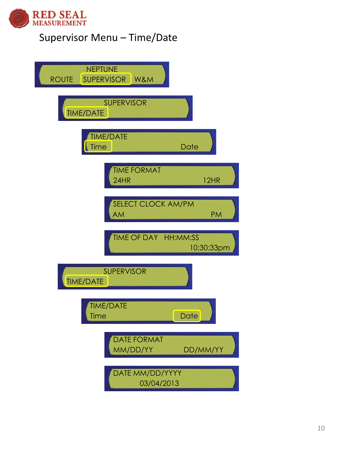

## Supervisor Menu – Time/Date

| <b>NEPTUNE</b><br><b>W&amp;M</b><br><b>SUPERVISOR</b><br><b>ROUTE</b> |             |
|-----------------------------------------------------------------------|-------------|
| <b>SUPERVISOR</b><br><b>TIME/DATE</b>                                 |             |
| <b>TIME/DATE</b><br>Time<br>Date                                      |             |
| <b>TIME FORMAT</b><br>24HR                                            | <b>12HR</b> |
| <b>SELECT CLOCK AM/PM</b><br><b>AM</b>                                | <b>PM</b>   |
| TIME OF DAY HH:MM:SS                                                  | 10:30:33pm  |
| <b>SUPERVISOR</b><br><b>TIME/DATE</b>                                 |             |
| <b>TIME/DATE</b><br>ſſ<br>Time<br>Date                                |             |
| <b>DATE FORMAT</b><br>MM/DD/YY                                        | DD/MM/YY    |
| DATE MM/DD/YYYY<br>03/04/2013                                         |             |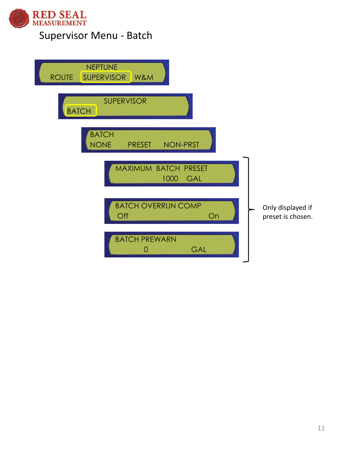

## Supervisor Menu ‐ Batch

| <b>NEPTUNE</b><br><b>ROUTE</b><br><b>SUPERVISOR</b><br>W&M      |                                        |
|-----------------------------------------------------------------|----------------------------------------|
| <b>SUPERVISOR</b><br><b>BATCH</b>                               |                                        |
| <b>BATCH</b><br><b>NONE</b><br><b>NON-PRST</b><br><b>PRESET</b> |                                        |
| MAXIMUM BATCH PRESET<br>1000<br>GAL                             |                                        |
| <b>BATCH OVERRUN COMP</b><br>Off<br>On                          | Only displayed if<br>preset is chosen. |
| <b>BATCH PREWARN</b><br>GAL<br>0                                |                                        |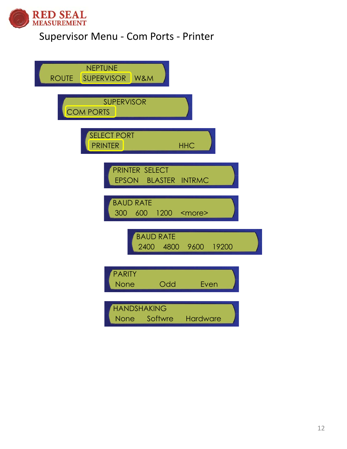

## Supervisor Menu ‐ Com Ports ‐ Printer

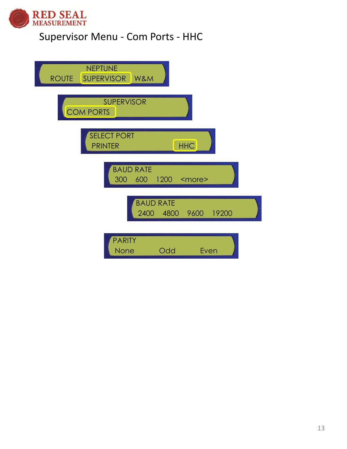

## Supervisor Menu ‐ Com Ports ‐ HHC

| <b>NEPTUNE</b><br>SUPERVISOR W&M<br><b>ROUTE</b>        |  |
|---------------------------------------------------------|--|
| <b>SUPERVISOR</b><br><b>COM PORTS</b>                   |  |
| <b>SELECT PORT</b><br><b>HHC</b><br><b>PRINTER</b>      |  |
| <b>BAUD RATE</b><br>1200<br>300<br>600<br><more></more> |  |
| <b>BAUD RATE</b><br>2400<br>4800 9600<br>19200          |  |
| <b>PARITY</b><br>Odd<br><b>None</b><br>Even             |  |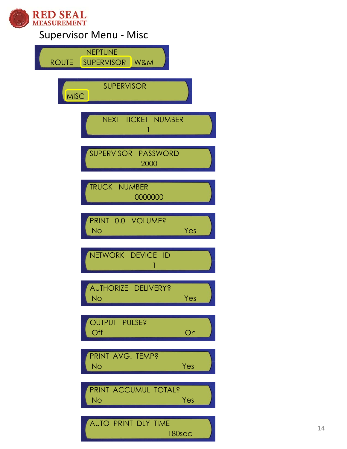

## Supervisor Menu ‐ Misc

| <b>NEPTUNE</b><br>SUPERVISOR W&M<br><b>ROUTE</b> |
|--------------------------------------------------|
| <b>SUPERVISOR</b><br>MISC                        |
| NEXT TICKET NUMBER<br>1                          |
| SUPERVISOR PASSWORD<br>2000                      |
| <b>TRUCK NUMBER</b><br>0000000                   |
| PRINT 0.0 VOLUME?<br><b>No</b><br>Yes            |
| NETWORK DEVICE ID                                |
| AUTHORIZE DELIVERY?<br><b>No</b><br>Yes          |
| <b>OUTPUT PULSE?</b><br>Off<br>On                |
| PRINT AVG. TEMP?<br><b>No</b><br>Yes             |
| PRINT ACCUMUL TOTAL?<br><b>No</b><br>Yes         |
| AUTO PRINT DLY TIME<br>180sec                    |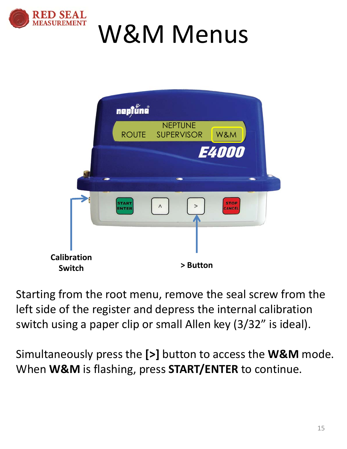

# W&M Menus

|                                     | nepjűne                      |                                    |                       |  |
|-------------------------------------|------------------------------|------------------------------------|-----------------------|--|
|                                     |                              | <b>NEPTUNE</b><br>ROUTE SUPERVISOR | W&M                   |  |
|                                     |                              |                                    | <b>E4000</b>          |  |
|                                     |                              |                                    |                       |  |
|                                     | <b>START</b><br><b>ENTER</b> | $\land$<br>>                       | <b>STOP</b><br>CANCEL |  |
|                                     |                              |                                    |                       |  |
| <b>Calibration</b><br><b>Switch</b> |                              | > Button                           |                       |  |

Starting from the root menu, remove the seal screw from the left side of the register and depress the internal calibration switch using a paper clip or small Allen key (3/32" is ideal).

Simultaneously press the **[>]** button to access the **W&M** mode. When **W&M** is flashing, press **START/ENTER** to continue.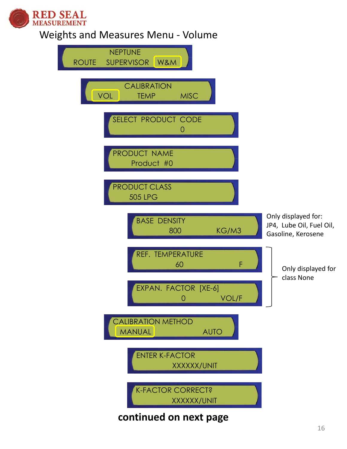

## Weights and Measures Menu ‐ Volume

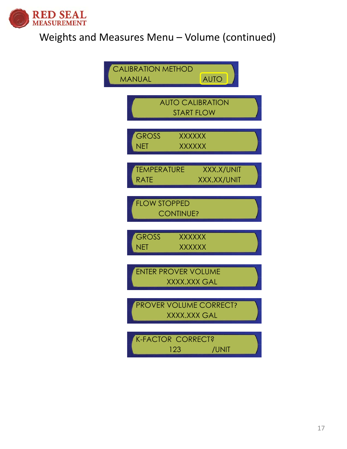

## Weights and Measures Menu – Volume (continued)

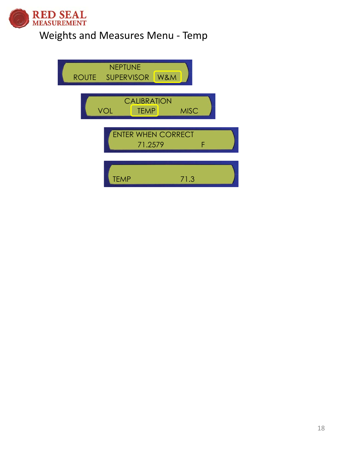

## Weights and Measures Menu - Temp

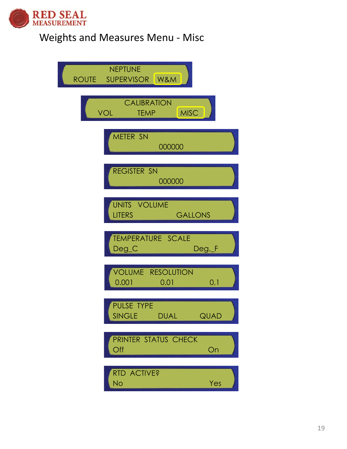

## Weights and Measures Menu ‐ Misc

| <b>NEPTUNE</b><br>ROUTE SUPERVISOR W&M                         |  |
|----------------------------------------------------------------|--|
| <b>CALIBRATION</b><br><b>MISC</b><br><b>VOL</b><br><b>TEMP</b> |  |
| METER SN<br>000000                                             |  |
| <b>REGISTER SN</b><br>000000                                   |  |
| UNITS VOLUME<br><b>LITERS</b><br><b>GALLONS</b>                |  |
| TEMPERATURE SCALE<br>$Deg_C$<br>Deg._F                         |  |
| <b>VOLUME RESOLUTION</b><br>0.001<br>0.1<br>0.01               |  |
| PULSE TYPE<br><b>SINGLE</b><br><b>QUAD</b><br><b>DUAL</b>      |  |
| PRINTER STATUS CHECK<br>Off<br>On                              |  |
| RTD ACTIVE?<br><b>No</b><br>Yes                                |  |